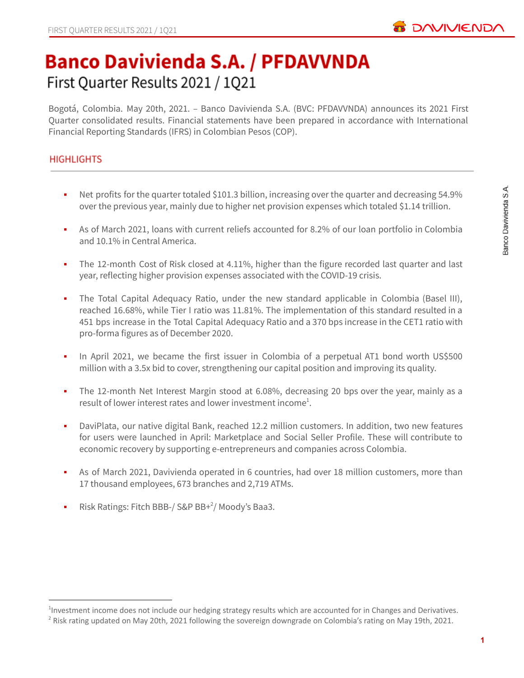

# **Banco Davivienda S.A. / PFDAVVNDA** First Quarter Results 2021 / 1Q21

Bogotá, Colombia. May 20th, 2021. – Banco Davivienda S.A. (BVC: PFDAVVNDA) announces its 2021 First Quarter consolidated results. Financial statements have been prepared in accordance with International Financial Reporting Standards (IFRS) in Colombian Pesos (COP).

# **HIGHLIGHTS**

- Net profits for the quarter totaled \$101.3 billion, increasing over the quarter and decreasing 54.9% over the previous year, mainly due to higher net provision expenses which totaled \$1.14 trillion.
- As of March 2021, loans with current reliefs accounted for 8.2% of our loan portfolio in Colombia and 10.1% in Central America.
- The 12-month Cost of Risk closed at 4.11%, higher than the figure recorded last quarter and last year, reflecting higher provision expenses associated with the COVID-19 crisis.
- The Total Capital Adequacy Ratio, under the new standard applicable in Colombia (Basel III), reached 16.68%, while Tier I ratio was 11.81%. The implementation of this standard resulted in a 451 bps increase in the Total Capital Adequacy Ratio and a 370 bps increase in the CET1 ratio with pro-forma figures as of December 2020.
- In April 2021, we became the first issuer in Colombia of a perpetual AT1 bond worth US\$500 million with a 3.5x bid to cover, strengthening our capital position and improving its quality.
- The 12-month Net Interest Margin stood at 6.08%, decreasing 20 bps over the year, mainly as a result of lower interest rates and lower investment income<sup>1</sup>.
- **•** DaviPlata, our native digital Bank, reached 12.2 million customers. In addition, two new features for users were launched in April: Marketplace and Social Seller Profile. These will contribute to economic recovery by supporting e-entrepreneurs and companies across Colombia.
- As of March 2021, Davivienda operated in 6 countries, had over 18 million customers, more than 17 thousand employees, 673 branches and 2,719 ATMs.
- **•** Risk Ratings: Fitch BBB-/ S&P BB+ $^2$ / Moody's Baa3.

<sup>&</sup>lt;sup>2</sup> Risk rating updated on May 20th, 2021 following the sovereign downgrade on Colombia's rating on May 19th, 2021. <sup>1</sup>Investment income does not include our hedging strategy results which are accounted for in Changes and Derivatives.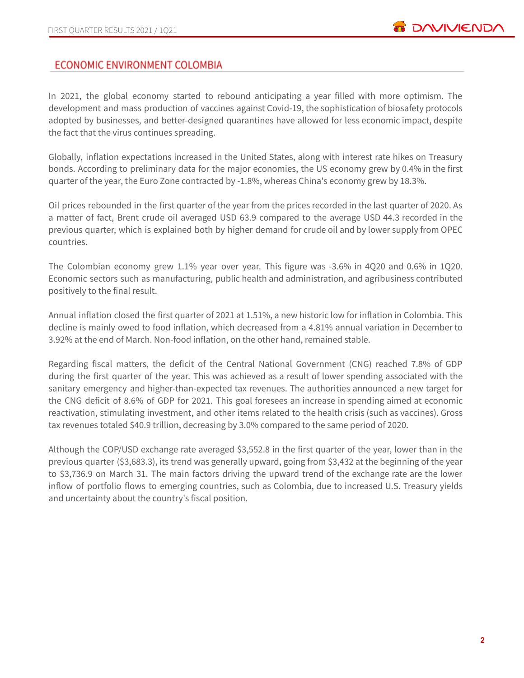# **ECONOMIC ENVIRONMENT COLOMBIA**

In 2021, the global economy started to rebound anticipating a year filled with more optimism. The development and mass production of vaccines against Covid-19, the sophistication of biosafety protocols adopted by businesses, and better-designed quarantines have allowed for less economic impact, despite the fact that the virus continues spreading.

Globally, inflation expectations increased in the United States, along with interest rate hikes on Treasury bonds. According to preliminary data for the major economies, the US economy grew by 0.4% in the first quarter of the year, the Euro Zone contracted by -1.8%, whereas China's economy grew by 18.3%.

Oil prices rebounded in the first quarter of the year from the prices recorded in the last quarter of 2020. As a matter of fact, Brent crude oil averaged USD 63.9 compared to the average USD 44.3 recorded in the previous quarter, which is explained both by higher demand for crude oil and by lower supply from OPEC countries.

The Colombian economy grew 1.1% year over year. This figure was -3.6% in 4Q20 and 0.6% in 1Q20. Economic sectors such as manufacturing, public health and administration, and agribusiness contributed positively to the final result.

Annual inflation closed the first quarter of 2021 at 1.51%, a new historic low for inflation in Colombia. This decline is mainly owed to food inflation, which decreased from a 4.81% annual variation in December to 3.92% at the end of March. Non-food inflation, on the other hand, remained stable.

Regarding fiscal matters, the deficit of the Central National Government (CNG) reached 7.8% of GDP during the first quarter of the year. This was achieved as a result of lower spending associated with the sanitary emergency and higher-than-expected tax revenues. The authorities announced a new target for the CNG deficit of 8.6% of GDP for 2021. This goal foresees an increase in spending aimed at economic reactivation, stimulating investment, and other items related to the health crisis (such as vaccines). Gross tax revenues totaled \$40.9 trillion, decreasing by 3.0% compared to the same period of 2020.

Although the COP/USD exchange rate averaged \$3,552.8 in the first quarter of the year, lower than in the previous quarter (\$3,683.3), its trend was generally upward, going from \$3,432 at the beginning of the year to \$3,736.9 on March 31. The main factors driving the upward trend of the exchange rate are the lower inflow of portfolio flows to emerging countries, such as Colombia, due to increased U.S. Treasury yields and uncertainty about the country's fiscal position.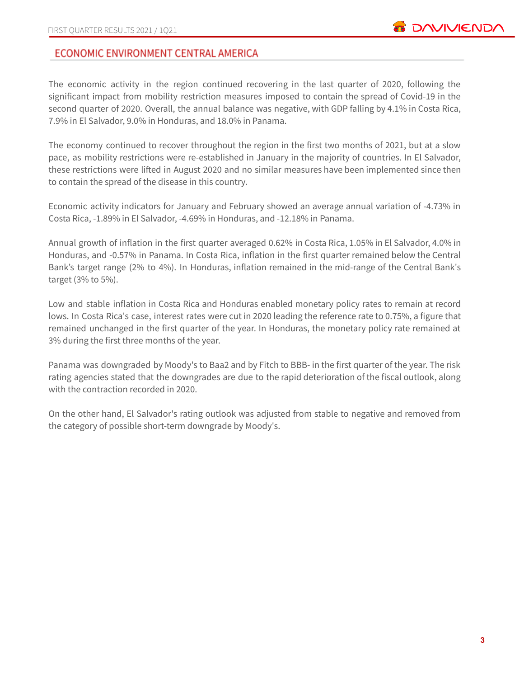# ECONOMIC ENVIRONMENT CENTRAL AMERICA

The economic activity in the region continued recovering in the last quarter of 2020, following the significant impact from mobility restriction measures imposed to contain the spread of Covid-19 in the second quarter of 2020. Overall, the annual balance was negative, with GDP falling by 4.1% in Costa Rica, 7.9% in El Salvador, 9.0% in Honduras, and 18.0% in Panama.

The economy continued to recover throughout the region in the first two months of 2021, but at a slow pace, as mobility restrictions were re-established in January in the majority of countries. In El Salvador, these restrictions were lifted in August 2020 and no similar measures have been implemented since then to contain the spread of the disease in this country.

Economic activity indicators for January and February showed an average annual variation of -4.73% in Costa Rica, -1.89% in El Salvador, -4.69% in Honduras, and -12.18% in Panama.

Annual growth of inflation in the first quarter averaged 0.62% in Costa Rica, 1.05% in El Salvador, 4.0% in Honduras, and -0.57% in Panama. In Costa Rica, inflation in the first quarter remained below the Central Bank's target range (2% to 4%). In Honduras, inflation remained in the mid-range of the Central Bank's target (3% to 5%).

Low and stable inflation in Costa Rica and Honduras enabled monetary policy rates to remain at record lows. In Costa Rica's case, interest rates were cut in 2020 leading the reference rate to 0.75%, a figure that remained unchanged in the first quarter of the year. In Honduras, the monetary policy rate remained at 3% during the first three months of the year.

Panama was downgraded by Moody's to Baa2 and by Fitch to BBB- in the first quarter of the year. The risk rating agencies stated that the downgrades are due to the rapid deterioration of the fiscal outlook, along with the contraction recorded in 2020.

On the other hand, El Salvador's rating outlook was adjusted from stable to negative and removed from the category of possible short-term downgrade by Moody's.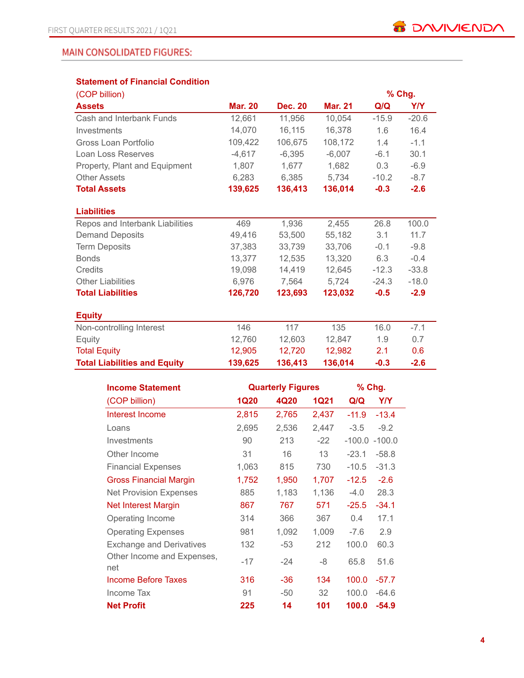# **MAIN CONSOLIDATED FIGURES:**

# **Statement of Financial Condition**

| (COP billion)                       |                |                |                |         | % Chg.  |
|-------------------------------------|----------------|----------------|----------------|---------|---------|
| <b>Assets</b>                       | <b>Mar. 20</b> | <b>Dec. 20</b> | <b>Mar. 21</b> | Q/Q     | Y/Y     |
| Cash and Interbank Funds            | 12,661         | 11,956         | 10,054         | $-15.9$ | $-20.6$ |
| Investments                         | 14,070         | 16,115         | 16,378         | 1.6     | 16.4    |
| Gross Loan Portfolio                | 109,422        | 106,675        | 108,172        | 1.4     | $-1.1$  |
| Loan Loss Reserves                  | $-4,617$       | $-6,395$       | $-6,007$       | $-6.1$  | 30.1    |
| Property, Plant and Equipment       | 1,807          | 1,677          | 1,682          | 0.3     | $-6.9$  |
| <b>Other Assets</b>                 | 6,283          | 6,385          | 5,734          | $-10.2$ | $-8.7$  |
| <b>Total Assets</b>                 | 139,625        | 136,413        | 136,014        | $-0.3$  | $-2.6$  |
| <b>Liabilities</b>                  |                |                |                |         |         |
| Repos and Interbank Liabilities     | 469            | 1,936          | 2,455          | 26.8    | 100.0   |
| <b>Demand Deposits</b>              | 49,416         | 53,500         | 55,182         | 3.1     | 11.7    |
| <b>Term Deposits</b>                | 37,383         | 33,739         | 33,706         | $-0.1$  | $-9.8$  |
| <b>Bonds</b>                        | 13.377         | 12.535         | 13,320         | 6.3     | $-0.4$  |
| Credits                             | 19.098         | 14.419         | 12.645         | $-12.3$ | $-33.8$ |
| <b>Other Liabilities</b>            | 6,976          | 7,564          | 5,724          | $-24.3$ | $-18.0$ |
| <b>Total Liabilities</b>            | 126,720        | 123,693        | 123,032        | $-0.5$  | $-2.9$  |
| <b>Equity</b>                       |                |                |                |         |         |
| Non-controlling Interest            | 146            | 117            | 135            | 16.0    | $-7.1$  |
| Equity                              | 12,760         | 12,603         | 12,847         | 1.9     | 0.7     |
| <b>Total Equity</b>                 | 12,905         | 12,720         | 12,982         | 2.1     | 0.6     |
| <b>Total Liabilities and Equity</b> | 139,625        | 136,413        | 136,014        | $-0.3$  | $-2.6$  |

| <b>Income Statement</b>         |             | <b>Quarterly Figures</b> | % Chg.      |         |                  |
|---------------------------------|-------------|--------------------------|-------------|---------|------------------|
| (COP billion)                   | <b>1Q20</b> | 4Q20                     | <b>1Q21</b> | Q/Q     | Y/Y              |
| Interest Income                 | 2,815       | 2,765                    | 2,437       | $-11.9$ | $-13.4$          |
| Loans                           | 2,695       | 2,536                    | 2,447       | $-3.5$  | $-9.2$           |
| Investments                     | 90          | 213                      | $-22$       |         | $-100.0 - 100.0$ |
| Other Income                    | 31          | 16                       | 13          | $-23.1$ | $-58.8$          |
| <b>Financial Expenses</b>       | 1,063       | 815                      | 730         | $-10.5$ | $-31.3$          |
| <b>Gross Financial Margin</b>   | 1,752       | 1,950                    | 1,707       | $-12.5$ | $-2.6$           |
| <b>Net Provision Expenses</b>   | 885         | 1,183                    | 1,136       | $-4.0$  | 28.3             |
| <b>Net Interest Margin</b>      | 867         | 767                      | 571         | $-25.5$ | $-34.1$          |
| Operating Income                | 314         | 366                      | 367         | 0.4     | 17.1             |
| <b>Operating Expenses</b>       | 981         | 1,092                    | 1,009       | $-7.6$  | 2.9              |
| <b>Exchange and Derivatives</b> | 132         | $-53$                    | 212         | 100.0   | 60.3             |
| Other Income and Expenses,      | $-17$       | $-24$                    | -8          | 65.8    | 51.6             |
| net                             |             |                          |             |         |                  |
| Income Before Taxes             | 316         | $-36$                    | 134         | 100.0   | $-57.7$          |
| Income Tax                      | 91          | $-50$                    | 32          | 100.0   | $-64.6$          |
| <b>Net Profit</b>               | 225         | 14                       | 101         | 100.0   | $-54.9$          |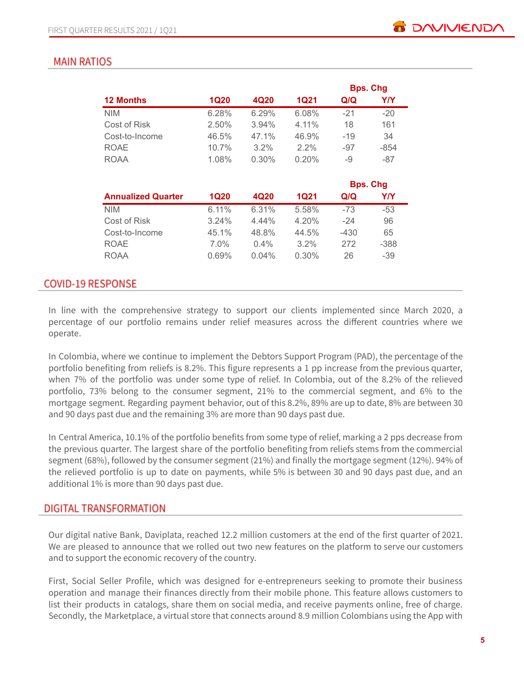# **MAIN RATIOS**

|                  |             |       |             |       | <b>Bps. Chg</b> |
|------------------|-------------|-------|-------------|-------|-----------------|
| <b>12 Months</b> | <b>1Q20</b> | 4Q20  | <b>1Q21</b> | Q/Q   | Y/Y             |
| <b>NIM</b>       | 6.28%       | 6.29% | 6.08%       | $-21$ | $-20$           |
| Cost of Risk     | 2.50%       | 3.94% | $4.11\%$    | 18    | 161             |
| Cost-to-Income   | 46.5%       | 47.1% | 46.9%       | $-19$ | 34              |
| <b>ROAE</b>      | 10.7%       | 3.2%  | $2.2\%$     | $-97$ | $-854$          |
| <b>ROAA</b>      | 1.08%       | 0.30% | 0.20%       | -9    | -87             |
|                  |             |       |             |       |                 |

|                           |             |          |         |        | <b>Bps. Chg</b> |
|---------------------------|-------------|----------|---------|--------|-----------------|
| <b>Annualized Quarter</b> | <b>1Q20</b> | 4Q20     | 1Q21    | Q/Q    | Y/Y             |
| <b>NIM</b>                | 6.11%       | 6.31%    | 5.58%   | $-73$  | $-53$           |
| Cost of Risk              | 3.24%       | $4.44\%$ | 4.20%   | $-24$  | 96              |
| Cost-to-Income            | 45.1%       | 48.8%    | 44.5%   | $-430$ | 65              |
| <b>ROAE</b>               | $7.0\%$     | $0.4\%$  | $3.2\%$ | 272    | $-388$          |
| <b>ROAA</b>               | 0.69%       | $0.04\%$ | 0.30%   | 26     | $-39$           |

# **COVID-19 RESPONSE**

In line with the comprehensive strategy to support our clients implemented since March 2020, a percentage of our portfolio remains under relief measures across the different countries where we operate.

In Colombia, where we continue to implement the Debtors Support Program (PAD), the percentage of the portfolio benefiting from reliefs is 8.2%. This figure represents a 1 pp increase from the previous quarter, when 7% of the portfolio was under some type of relief. In Colombia, out of the 8.2% of the relieved portfolio, 73% belong to the consumer segment, 21% to the commercial segment, and 6% to the mortgage segment. Regarding payment behavior, out of this 8.2%, 89% are up to date, 8% are between 30 and 90 days past due and the remaining 3% are more than 90 days past due.

In Central America, 10.1% of the portfolio benefits from some type of relief, marking a 2 pps decrease from the previous quarter. The largest share of the portfolio benefiting from reliefs stems from the commercial segment (68%), followed by the consumer segment (21%) and finally the mortgage segment (12%). 94% of the relieved portfolio is up to date on payments, while 5% is between 30 and 90 days past due, and an additional 1% is more than 90 days past due.

# **DIGITAL TRANSFORMATION**

Our digital native Bank, Daviplata, reached 12.2 million customers at the end of the first quarter of 2021. We are pleased to announce that we rolled out two new features on the platform to serve our customers and to support the economic recovery of the country.

First, Social Seller Profile, which was designed for e-entrepreneurs seeking to promote their business operation and manage their finances directly from their mobile phone. This feature allows customers to list their products in catalogs, share them on social media, and receive payments online, free of charge. Secondly, the Marketplace, a virtual store that connects around 8.9 million Colombians using the App with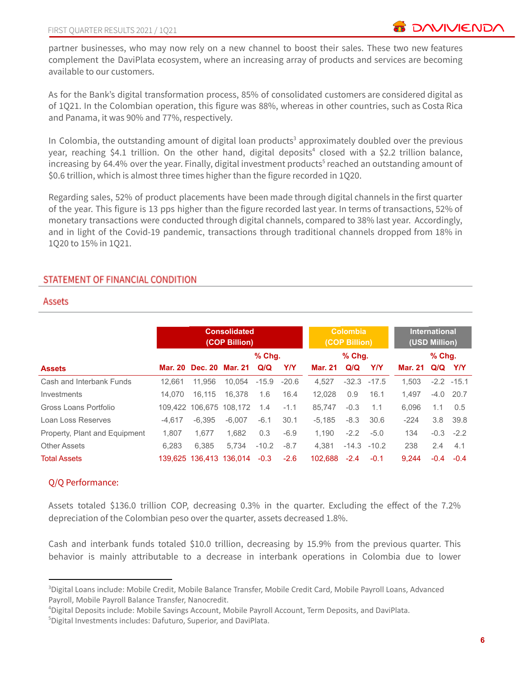partner businesses, who may now rely on a new channel to boost their sales. These two new features complement the DaviPlata ecosystem, where an increasing array of products and services are becoming available to our customers.

As for the Bank's digital transformation process, 85% of consolidated customers are considered digital as of 1Q21. In the Colombian operation, this figure was 88%, whereas in other countries, such as Costa Rica and Panama, it was 90% and 77%, respectively.

In Colombia, the outstanding amount of digital loan products<sup>3</sup> approximately doubled over the previous year, reaching \$4.1 trillion. On the other hand, digital deposits<sup>4</sup> closed with a \$2.2 trillion balance, increasing by 64.4% over the year. Finally, digital investment products<sup>5</sup> reached an outstanding amount of \$0.6 trillion, which is almost three times higher than the figure recorded in 1Q20.

Regarding sales, 52% of product placements have been made through digital channels in the first quarter of the year. This figure is 13 pps higher than the figure recorded last year. In terms of transactions, 52% of monetary transactions were conducted through digital channels, compared to 38% last year. Accordingly, and in light of the Covid-19 pandemic, transactions through traditional channels dropped from 18% in 1Q20 to 15% in 1Q21.

# STATEMENT OF FINANCIAL CONDITION

#### Assets

|                               |          | <b>Consolidated</b><br>(COP Billion) |                         |          |            |          |          | <b>Colombia</b><br>(COP Billion) |         |          | <b>International</b><br>(USD Million) |  |
|-------------------------------|----------|--------------------------------------|-------------------------|----------|------------|----------|----------|----------------------------------|---------|----------|---------------------------------------|--|
|                               |          |                                      |                         | $%$ Chq. |            |          | $%$ Chg. |                                  |         | $%$ Chg. |                                       |  |
| <b>Assets</b>                 |          | Mar. 20 Dec. 20 Mar. 21              |                         | Q/Q      | <b>Y/Y</b> | Mar. 21  | Q/Q      | Y/Y                              | Mar. 21 | Q/Q      | Y/Y                                   |  |
| Cash and Interbank Funds      | 12.661   | 11.956                               | 10.054                  | $-15.9$  | $-20.6$    | 4.527    | $-32.3$  | $-17.5$                          | 1.503   |          | $-2.2 -15.1$                          |  |
| Investments                   | 14.070   | 16.115                               | 16.378                  | 1.6      | 16.4       | 12.028   | 0.9      | 16.1                             | 1.497   | $-4.0$   | 20.7                                  |  |
| Gross Loans Portfolio         |          | 109,422 106,675 108,172              |                         | 1.4      | $-1.1$     | 85.747   | $-0.3$   | 1.1                              | 6.096   | 1.1      | 0.5                                   |  |
| Loan Loss Reserves            | $-4.617$ | $-6.395$                             | $-6.007$                | $-6.1$   | 30.1       | $-5.185$ | $-8.3$   | 30.6                             | $-224$  | 3.8      | 39.8                                  |  |
| Property, Plant and Equipment | 1,807    | 1.677                                | 1.682                   | 0.3      | $-6.9$     | 1.190    | $-2.2$   | $-5.0$                           | 134     | $-0.3$   | $-2.2$                                |  |
| <b>Other Assets</b>           | 6.283    | 6.385                                | 5.734                   | $-10.2$  | $-8.7$     | 4.381    |          | $-14.3 - 10.2$                   | 238     | 2.4      | 4.1                                   |  |
| <b>Total Assets</b>           |          |                                      | 139.625 136.413 136.014 | $-0.3$   | $-2.6$     | 102.688  | $-2.4$   | $-0.1$                           | 9.244   | $-0.4$   | $-0.4$                                |  |

#### Q/Q Performance:

Assets totaled \$136.0 trillion COP, decreasing 0.3% in the quarter. Excluding the effect of the 7.2% depreciation of the Colombian peso over the quarter, assets decreased 1.8%.

Cash and interbank funds totaled \$10.0 trillion, decreasing by 15.9% from the previous quarter. This behavior is mainly attributable to a decrease in interbank operations in Colombia due to lower

<sup>3</sup>Digital Loans include: Mobile Credit, Mobile Balance Transfer, Mobile Credit Card, Mobile Payroll Loans, Advanced Payroll, Mobile Payroll Balance Transfer, Nanocredit.

<sup>4</sup>Digital Deposits include: Mobile Savings Account, Mobile Payroll Account, Term Deposits, and DaviPlata.

<sup>5</sup>Digital Investments includes: Dafuturo, Superior, and DaviPlata.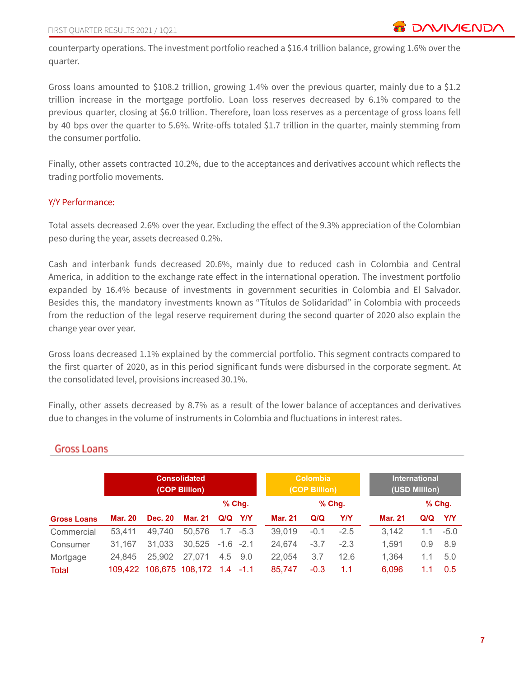counterparty operations. The investment portfolio reached a \$16.4 trillion balance, growing 1.6% over the quarter.

Gross loans amounted to \$108.2 trillion, growing 1.4% over the previous quarter, mainly due to a \$1.2 trillion increase in the mortgage portfolio. Loan loss reserves decreased by 6.1% compared to the previous quarter, closing at \$6.0 trillion. Therefore, loan loss reserves as a percentage of gross loans fell by 40 bps over the quarter to 5.6%. Write-offs totaled \$1.7 trillion in the quarter, mainly stemming from the consumer portfolio.

Finally, other assets contracted 10.2%, due to the acceptances and derivatives account which reflects the trading portfolio movements.

# Y/Y Performance:

Total assets decreased 2.6% over the year. Excluding the effect of the 9.3% appreciation of the Colombian peso during the year, assets decreased 0.2%.

Cash and interbank funds decreased 20.6%, mainly due to reduced cash in Colombia and Central America, in addition to the exchange rate effect in the international operation. The investment portfolio expanded by 16.4% because of investments in government securities in Colombia and El Salvador. Besides this, the mandatory investments known as "Títulos de Solidaridad" in Colombia with proceeds from the reduction of the legal reserve requirement during the second quarter of 2020 also explain the change year over year.

Gross loans decreased 1.1% explained by the commercial portfolio. This segment contracts compared to the first quarter of 2020, as in this period significant funds were disbursed in the corporate segment. At the consolidated level, provisions increased 30.1%.

Finally, other assets decreased by 8.7% as a result of the lower balance of acceptances and derivatives due to changes in the volume of instruments in Colombia and fluctuations in interest rates.

|                    |         | <b>Consolidated</b><br>(COP Billion) |         |             |            | <b>Colombia</b><br>(COP Billion) |        |          | <b>International</b><br>(USD Million) |     |          |
|--------------------|---------|--------------------------------------|---------|-------------|------------|----------------------------------|--------|----------|---------------------------------------|-----|----------|
|                    |         |                                      |         |             | $%$ Chg.   |                                  |        | $%$ Chg. |                                       |     | $%$ Chg. |
| <b>Gross Loans</b> | Mar. 20 | <b>Dec. 20</b>                       | Mar. 21 | Q/Q         | <b>Y/Y</b> | <b>Mar. 21</b>                   | Q/Q    | Y/Y      | <b>Mar. 21</b>                        | Q/Q | YIY      |
| Commercial         | 53.411  | 49.740                               | 50.576  | 1.7         | $-5.3$     | 39,019                           | $-0.1$ | $-2.5$   | 3.142                                 | 1.1 | $-5.0$   |
| Consumer           | 31.167  | 31.033                               | 30.525  | $-1.6 -2.1$ |            | 24.674                           | $-3.7$ | $-2.3$   | 1.591                                 | 0.9 | 8.9      |
| Mortgage           | 24.845  | 25,902                               | 27,071  | $4.5$ $9.0$ |            | 22.054                           | 3.7    | 12.6     | 1.364                                 | 1.1 | 5.0      |
| Total              |         | 109,422 106,675 108,172 1.4 -1.1     |         |             |            | 85.747                           | $-0.3$ | 1.1      | 6.096                                 | 1.1 | 0.5      |

# **Gross Loans**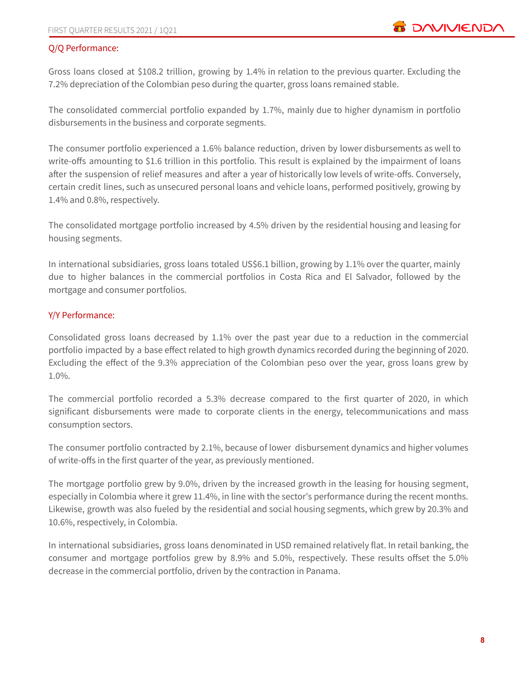# Q/Q Performance:

Gross loans closed at \$108.2 trillion, growing by 1.4% in relation to the previous quarter. Excluding the 7.2% depreciation of the Colombian peso during the quarter, gross loans remained stable.

The consolidated commercial portfolio expanded by 1.7%, mainly due to higher dynamism in portfolio disbursements in the business and corporate segments.

The consumer portfolio experienced a 1.6% balance reduction, driven by lower disbursements as well to write-offs amounting to \$1.6 trillion in this portfolio. This result is explained by the impairment of loans after the suspension of relief measures and after a year of historically low levels of write-offs. Conversely, certain credit lines, such as unsecured personal loans and vehicle loans, performed positively, growing by 1.4% and 0.8%, respectively.

The consolidated mortgage portfolio increased by 4.5% driven by the residential housing and leasing for housing segments.

In international subsidiaries, gross loans totaled US\$6.1 billion, growing by 1.1% over the quarter, mainly due to higher balances in the commercial portfolios in Costa Rica and El Salvador, followed by the mortgage and consumer portfolios.

# Y/Y Performance:

Consolidated gross loans decreased by 1.1% over the past year due to a reduction in the commercial portfolio impacted by a base effect related to high growth dynamics recorded during the beginning of 2020. Excluding the effect of the 9.3% appreciation of the Colombian peso over the year, gross loans grew by 1.0%.

The commercial portfolio recorded a 5.3% decrease compared to the first quarter of 2020, in which significant disbursements were made to corporate clients in the energy, telecommunications and mass consumption sectors.

The consumer portfolio contracted by 2.1%, because of lower disbursement dynamics and higher volumes of write-offs in the first quarter of the year, as previously mentioned.

The mortgage portfolio grew by 9.0%, driven by the increased growth in the leasing for housing segment, especially in Colombia where it grew 11.4%, in line with the sector's performance during the recent months. Likewise, growth was also fueled by the residential and social housing segments, which grew by 20.3% and 10.6%, respectively, in Colombia.

In international subsidiaries, gross loans denominated in USD remained relatively flat. In retail banking, the consumer and mortgage portfolios grew by 8.9% and 5.0%, respectively. These results offset the 5.0% decrease in the commercial portfolio, driven by the contraction in Panama.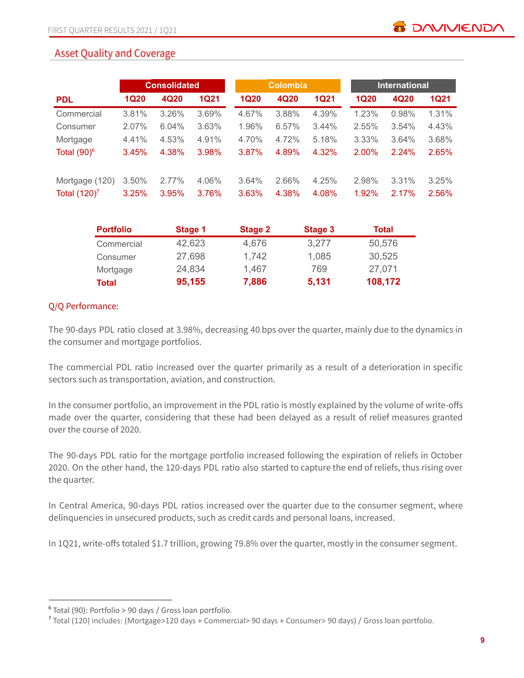# **Asset Quality and Coverage**

|                 |             | <b>Consolidated</b> |             | <b>Colombia</b> |       |             | <b>International</b> |       |       |  |  |  |
|-----------------|-------------|---------------------|-------------|-----------------|-------|-------------|----------------------|-------|-------|--|--|--|
| <b>PDL</b>      | <b>1Q20</b> | 4Q20                | <b>1Q21</b> | <b>1Q20</b>     | 4Q20  | <b>1Q21</b> | <b>1Q20</b>          | 4Q20  | 1Q21  |  |  |  |
| Commercial      | 3.81%       | 3.26%               | 3.69%       | 4.67%           | 3.88% | 4.39%       | 1.23%                | 0.98% | 1.31% |  |  |  |
| Consumer        | 2.07%       | 6.04%               | 3.63%       | 1.96%           | 6.57% | 3.44%       | 2.55%                | 3.54% | 4.43% |  |  |  |
| Mortgage        | 4.41%       | 4.53%               | 4.91%       | 4.70%           | 4.72% | 5.18%       | 3.33%                | 3.64% | 3.68% |  |  |  |
| Total $(90)^6$  | 3.45%       | 4.38%               | 3.98%       | 3.87%           | 4.89% | 4.32%       | 2.00%                | 2.24% | 2.65% |  |  |  |
| Mortgage (120)  | 3.50%       | 2.77%               | 4.06%       | 3.64%           | 2.66% | 4.25%       | 2.98%                | 3.31% | 3.25% |  |  |  |
| Total $(120)^7$ | 3.25%       | 3.95%               | 3.76%       | 3.63%           | 4.38% | 4.08%       | 1.92%                | 2.17% | 2.56% |  |  |  |

| <b>Portfolio</b> | Stage 1 | <b>Stage 2</b> | Stage 3 | Total   |
|------------------|---------|----------------|---------|---------|
| Commercial       | 42,623  | 4,676          | 3,277   | 50,576  |
| Consumer         | 27,698  | 1,742          | 1,085   | 30,525  |
| Mortgage         | 24,834  | 1,467          | 769     | 27,071  |
| <b>Total</b>     | 95,155  | 7,886          | 5,131   | 108,172 |

# Q/Q Performance:

The 90-days PDL ratio closed at 3.98%, decreasing 40 bps over the quarter, mainly due to the dynamics in the consumer and mortgage portfolios.

The commercial PDL ratio increased over the quarter primarily as a result of a deterioration in specific sectors such as transportation, aviation, and construction.

In the consumer portfolio, an improvement in the PDL ratio is mostly explained by the volume of write-offs made over the quarter, considering that these had been delayed as a result of relief measures granted over the course of 2020.

The 90-days PDL ratio for the mortgage portfolio increased following the expiration of reliefs in October 2020. On the other hand, the 120-days PDL ratio also started to capture the end of reliefs, thus rising over the quarter.

In Central America, 90-days PDL ratios increased over the quarter due to the consumer segment, where delinquencies in unsecured products, such as credit cards and personal loans, increased.

In 1Q21, write-offs totaled \$1.7 trillion, growing 79.8% over the quarter, mostly in the consumer segment.

<sup>6</sup> Total (90): Portfolio > 90 days / Gross loan portfolio.

<sup>7</sup> Total (120) includes: (Mortgage>120 days + Commercial> 90 days + Consumer> 90 days) / Gross loan portfolio.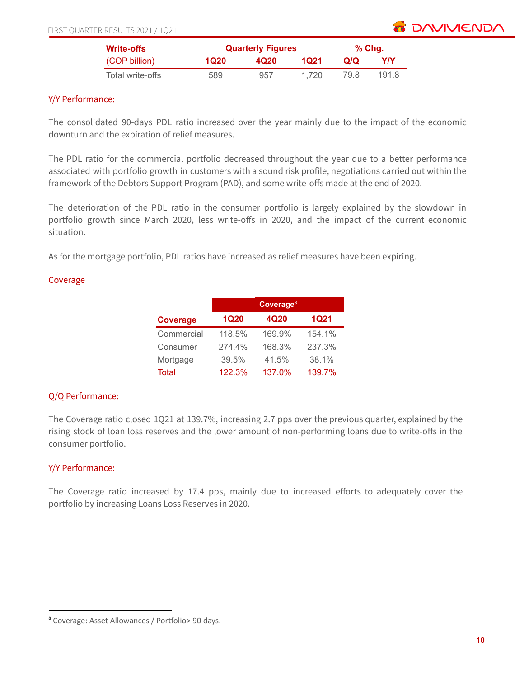

| <b>Write-offs</b> |      | <b>Quarterly Figures</b> |       |      |       |  |  |  |
|-------------------|------|--------------------------|-------|------|-------|--|--|--|
| (COP billion)     | 1Q20 | 4Q <sub>20</sub>         | 1021  | Q/Q  | YN    |  |  |  |
| Total write-offs  | 589  | 957                      | 1.720 | 79.8 | 191.8 |  |  |  |

## Y/Y Performance:

The consolidated 90-days PDL ratio increased over the year mainly due to the impact of the economic downturn and the expiration of relief measures.

The PDL ratio for the commercial portfolio decreased throughout the year due to a better performance associated with portfolio growth in customers with a sound risk profile, negotiations carried out within the framework of the Debtors Support Program (PAD), and some write-offs made at the end of 2020.

The deterioration of the PDL ratio in the consumer portfolio is largely explained by the slowdown in portfolio growth since March 2020, less write-offs in 2020, and the impact of the current economic situation.

As for the mortgage portfolio, PDL ratios have increased as relief measures have been expiring.

#### Coverage

|                 | Coverage <sup>8</sup> |        |             |  |  |  |  |  |  |  |
|-----------------|-----------------------|--------|-------------|--|--|--|--|--|--|--|
| <b>Coverage</b> | <b>1Q20</b>           | 4Q20   | <b>1Q21</b> |  |  |  |  |  |  |  |
| Commercial      | 118.5%                | 169.9% | 154.1%      |  |  |  |  |  |  |  |
| Consumer        | 274.4%                | 168.3% | 237.3%      |  |  |  |  |  |  |  |
| Mortgage        | 39.5%                 | 41.5%  | 38.1%       |  |  |  |  |  |  |  |
| <b>Total</b>    | 122.3%                | 137.0% | 139.7%      |  |  |  |  |  |  |  |

# Q/Q Performance:

The Coverage ratio closed 1Q21 at 139.7%, increasing 2.7 pps over the previous quarter, explained by the rising stock of loan loss reserves and the lower amount of non-performing loans due to write-offs in the consumer portfolio.

# Y/Y Performance:

The Coverage ratio increased by 17.4 pps, mainly due to increased efforts to adequately cover the portfolio by increasing Loans Loss Reserves in 2020.

<sup>8</sup> Coverage: Asset Allowances / Portfolio> 90 days.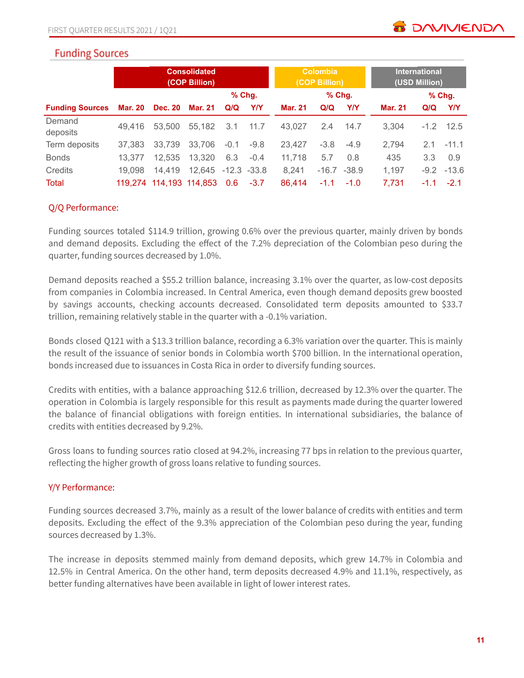# **Funding Sources**

|                        | <b>Consolidated</b><br>(COP Billion) |                |                         |                  | <b>Colombia</b><br>(COP Billion) |                |          | <b>International</b><br>(USD Million) |                |        |              |
|------------------------|--------------------------------------|----------------|-------------------------|------------------|----------------------------------|----------------|----------|---------------------------------------|----------------|--------|--------------|
|                        |                                      |                |                         | $%$ Chg.         |                                  |                | $%$ Chg. |                                       |                |        | $%$ Chg.     |
| <b>Funding Sources</b> | Mar. 20                              | <b>Dec. 20</b> | Mar. 21                 | Q/Q              | <b>Y/Y</b>                       | <b>Mar. 21</b> | Q/Q      | <b>Y/Y</b>                            | <b>Mar. 21</b> | Q/Q    | Y/Y          |
| Demand<br>deposits     | 49.416                               | 53,500         | 55.182                  | 3.1              | 11.7                             | 43.027         | 2.4      | 14.7                                  | 3.304          | $-1.2$ | 12.5         |
| Term deposits          | 37.383                               | 33,739         | 33.706                  | $-0.1$           | $-9.8$                           | 23.427         | $-3.8$   | $-4.9$                                | 2,794          | 2.1    | $-11.1$      |
| <b>Bonds</b>           | 13.377                               | 12,535         | 13,320                  | 6.3              | $-0.4$                           | 11,718         | 5.7      | 0.8                                   | 435            | 3.3    | 0.9          |
| Credits                | 19.098                               | 14,419         | 12,645                  | $-12.3 - 33.8$   |                                  | 8,241          | $-16.7$  | $-38.9$                               | 1,197          |        | $-9.2 -13.6$ |
| Total                  |                                      |                | 119,274 114,193 114,853 | 0.6 <sub>1</sub> | $-3.7$                           | 86.414         | $-1.1$   | $-1.0$                                | 7,731          | $-1.1$ | $-2.1$       |

# Q/Q Performance:

Funding sources totaled \$114.9 trillion, growing 0.6% over the previous quarter, mainly driven by bonds and demand deposits. Excluding the effect of the 7.2% depreciation of the Colombian peso during the quarter, funding sources decreased by 1.0%.

Demand deposits reached a \$55.2 trillion balance, increasing 3.1% over the quarter, as low-cost deposits from companies in Colombia increased. In Central America, even though demand deposits grew boosted by savings accounts, checking accounts decreased. Consolidated term deposits amounted to \$33.7 trillion, remaining relatively stable in the quarter with a -0.1% variation.

Bonds closed Q121 with a \$13.3 trillion balance, recording a 6.3% variation over the quarter. This is mainly the result of the issuance of senior bonds in Colombia worth \$700 billion. In the international operation, bonds increased due to issuances in Costa Rica in order to diversify funding sources.

Credits with entities, with a balance approaching \$12.6 trillion, decreased by 12.3% over the quarter. The operation in Colombia is largely responsible for this result as payments made during the quarter lowered the balance of financial obligations with foreign entities. In international subsidiaries, the balance of credits with entities decreased by 9.2%.

Gross loans to funding sources ratio closed at 94.2%, increasing 77 bps in relation to the previous quarter, reflecting the higher growth of gross loans relative to funding sources.

# Y/Y Performance:

Funding sources decreased 3.7%, mainly as a result of the lower balance of credits with entities and term deposits. Excluding the effect of the 9.3% appreciation of the Colombian peso during the year, funding sources decreased by 1.3%.

The increase in deposits stemmed mainly from demand deposits, which grew 14.7% in Colombia and 12.5% in Central America. On the other hand, term deposits decreased 4.9% and 11.1%, respectively, as better funding alternatives have been available in light of lower interest rates.

**TO DAVIVIEND**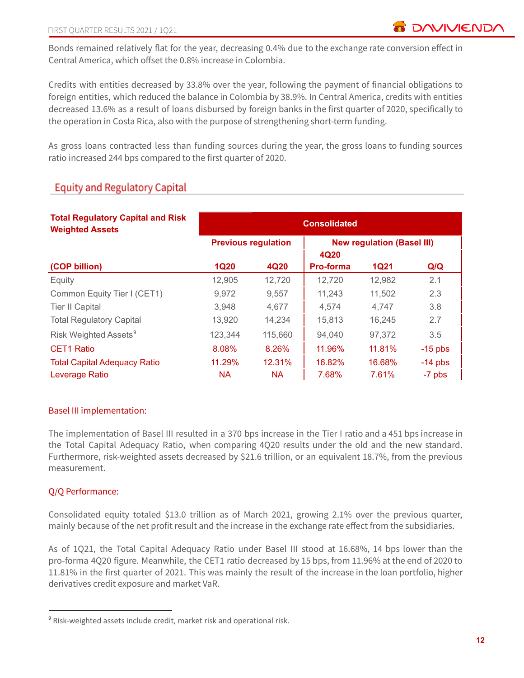Bonds remained relatively flat for the year, decreasing 0.4% due to the exchange rate conversion effect in Central America, which offset the 0.8% increase in Colombia.

Credits with entities decreased by 33.8% over the year, following the payment of financial obligations to foreign entities, which reduced the balance in Colombia by 38.9%. In Central America, credits with entities decreased 13.6% as a result of loans disbursed by foreign banks in the first quarter of 2020, specifically to the operation in Costa Rica, also with the purpose of strengthening short-term funding.

As gross loans contracted less than funding sources during the year, the gross loans to funding sources ratio increased 244 bps compared to the first quarter of 2020.

# **Equity and Regulatory Capital**

| <b>Total Regulatory Capital and Risk</b><br><b>Weighted Assets</b> | <b>Consolidated</b>        |           |           |                                   |           |  |  |  |  |
|--------------------------------------------------------------------|----------------------------|-----------|-----------|-----------------------------------|-----------|--|--|--|--|
|                                                                    | <b>Previous regulation</b> |           | 4Q20      | <b>New regulation (Basel III)</b> |           |  |  |  |  |
| (COP billion)                                                      | <b>1Q20</b>                | 4Q20      | Pro-forma | <b>1Q21</b>                       | Q/Q       |  |  |  |  |
| Equity                                                             | 12,905                     | 12,720    | 12,720    | 12,982                            | 2.1       |  |  |  |  |
| Common Equity Tier I (CET1)                                        | 9,972                      | 9.557     | 11,243    | 11,502                            | 2.3       |  |  |  |  |
| <b>Tier II Capital</b>                                             | 3,948                      | 4.677     | 4,574     | 4,747                             | 3.8       |  |  |  |  |
| <b>Total Regulatory Capital</b>                                    | 13,920                     | 14,234    | 15,813    | 16,245                            | 2.7       |  |  |  |  |
| Risk Weighted Assets <sup>9</sup>                                  | 123,344                    | 115,660   | 94,040    | 97,372                            | 3.5       |  |  |  |  |
| <b>CET1 Ratio</b>                                                  | 8.08%                      | 8.26%     | 11.96%    | 11.81%                            | $-15$ pbs |  |  |  |  |
| <b>Total Capital Adequacy Ratio</b>                                | 11.29%                     | 12.31%    | 16.82%    | 16.68%                            | $-14$ pbs |  |  |  |  |
| Leverage Ratio                                                     | <b>NA</b>                  | <b>NA</b> | 7.68%     | 7.61%                             | -7 pbs    |  |  |  |  |

# Basel III implementation:

The implementation of Basel III resulted in a 370 bps increase in the Tier I ratio and a 451 bps increase in the Total Capital Adequacy Ratio, when comparing 4Q20 results under the old and the new standard. Furthermore, risk-weighted assets decreased by \$21.6 trillion, or an equivalent 18.7%, from the previous measurement.

# Q/Q Performance:

Consolidated equity totaled \$13.0 trillion as of March 2021, growing 2.1% over the previous quarter, mainly because of the net profit result and the increase in the exchange rate effect from the subsidiaries.

As of 1Q21, the Total Capital Adequacy Ratio under Basel III stood at 16.68%, 14 bps lower than the pro-forma 4Q20 figure. Meanwhile, the CET1 ratio decreased by 15 bps, from 11.96% at the end of 2020 to 11.81% in the first quarter of 2021. This was mainly the result of the increase in the loan portfolio, higher derivatives credit exposure and market VaR.

<sup>&</sup>lt;sup>9</sup> Risk-weighted assets include credit, market risk and operational risk.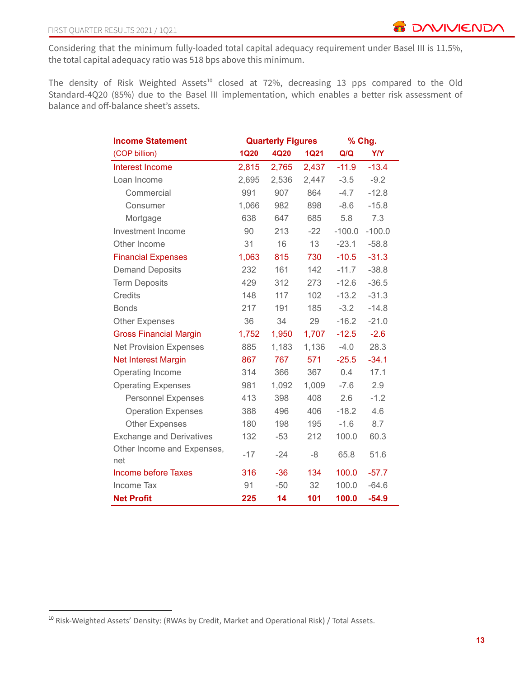Considering that the minimum fully-loaded total capital adequacy requirement under Basel III is 11.5%, the total capital adequacy ratio was 518 bps above this minimum.

The density of Risk Weighted Assets<sup>10</sup> closed at 72%, decreasing 13 pps compared to the Old Standard-4Q20 (85%) due to the Basel III implementation, which enables a better risk assessment of balance and off-balance sheet's assets.

| <b>Income Statement</b>           |             | <b>Quarterly Figures</b> | % Chg.      |          |            |
|-----------------------------------|-------------|--------------------------|-------------|----------|------------|
| (COP billion)                     | <b>1Q20</b> | 4Q20                     | <b>1Q21</b> | Q/Q      | <b>Y/Y</b> |
| Interest Income                   | 2,815       | 2,765                    | 2,437       | $-11.9$  | $-13.4$    |
| Loan Income                       | 2,695       | 2,536                    | 2,447       | $-3.5$   | $-9.2$     |
| Commercial                        | 991         | 907                      | 864         | $-4.7$   | $-12.8$    |
| Consumer                          | 1,066       | 982                      | 898         | $-8.6$   | $-15.8$    |
| Mortgage                          | 638         | 647                      | 685         | 5.8      | 7.3        |
| Investment Income                 | 90          | 213                      | $-22$       | $-100.0$ | $-100.0$   |
| Other Income                      | 31          | 16                       | 13          | $-23.1$  | $-58.8$    |
| <b>Financial Expenses</b>         | 1,063       | 815                      | 730         | $-10.5$  | $-31.3$    |
| <b>Demand Deposits</b>            | 232         | 161                      | 142         | $-11.7$  | $-38.8$    |
| <b>Term Deposits</b>              | 429         | 312                      | 273         | $-12.6$  | $-36.5$    |
| <b>Credits</b>                    | 148         | 117                      | 102         | $-13.2$  | $-31.3$    |
| <b>Bonds</b>                      | 217         | 191                      | 185         | $-3.2$   | $-14.8$    |
| <b>Other Expenses</b>             | 36          | 34                       | 29          | $-16.2$  | $-21.0$    |
| <b>Gross Financial Margin</b>     | 1,752       | 1,950                    | 1,707       | $-12.5$  | $-2.6$     |
| <b>Net Provision Expenses</b>     | 885         | 1,183                    | 1,136       | $-4.0$   | 28.3       |
| <b>Net Interest Margin</b>        | 867         | 767                      | 571         | $-25.5$  | $-34.1$    |
| Operating Income                  | 314         | 366                      | 367         | 0.4      | 17.1       |
| <b>Operating Expenses</b>         | 981         | 1,092                    | 1,009       | $-7.6$   | 2.9        |
| <b>Personnel Expenses</b>         | 413         | 398                      | 408         | 2.6      | $-1.2$     |
| <b>Operation Expenses</b>         | 388         | 496                      | 406         | $-18.2$  | 4.6        |
| <b>Other Expenses</b>             | 180         | 198                      | 195         | $-1.6$   | 8.7        |
| <b>Exchange and Derivatives</b>   | 132         | $-53$                    | 212         | 100.0    | 60.3       |
| Other Income and Expenses,<br>net | $-17$       | $-24$                    | -8          | 65.8     | 51.6       |
| <b>Income before Taxes</b>        | 316         | $-36$                    | 134         | 100.0    | $-57.7$    |
| <b>Income Tax</b>                 | 91          | $-50$                    | 32          | 100.0    | $-64.6$    |
| <b>Net Profit</b>                 | 225         | 14                       | 101         | 100.0    | $-54.9$    |

<sup>10</sup> Risk-Weighted Assets' Density: (RWAs by Credit, Market and Operational Risk) / Total Assets.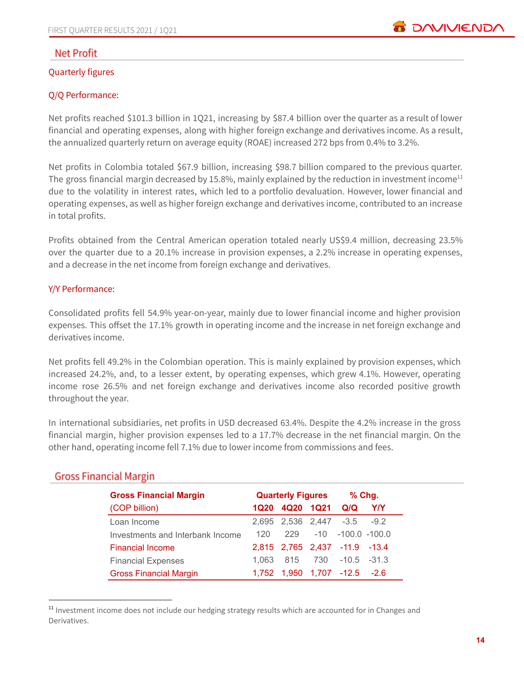

# **Net Profit**

#### Quarterly figures

# Q/Q Performance:

Net profits reached \$101.3 billion in 1Q21, increasing by \$87.4 billion over the quarter as a result of lower financial and operating expenses, along with higher foreign exchange and derivatives income. As a result, the annualized quarterly return on average equity (ROAE) increased 272 bps from 0.4% to 3.2%.

Net profits in Colombia totaled \$67.9 billion, increasing \$98.7 billion compared to the previous quarter. The gross financial margin decreased by 15.8%, mainly explained by the reduction in investment income<sup>11</sup> due to the volatility in interest rates, which led to a portfolio devaluation. However, lower financial and operating expenses, as well as higher foreign exchange and derivatives income, contributed to an increase in total profits.

Profits obtained from the Central American operation totaled nearly US\$9.4 million, decreasing 23.5% over the quarter due to a 20.1% increase in provision expenses, a 2.2% increase in operating expenses, and a decrease in the net income from foreign exchange and derivatives.

## Y/Y Performance:

Consolidated profits fell 54.9% year-on-year, mainly due to lower financial income and higher provision expenses. This offset the 17.1% growth in operating income and the increase in net foreign exchange and derivatives income.

Net profits fell 49.2% in the Colombian operation. This is mainly explained by provision expenses, which increased 24.2%, and, to a lesser extent, by operating expenses, which grew 4.1%. However, operating income rose 26.5% and net foreign exchange and derivatives income also recorded positive growth throughout the year.

In international subsidiaries, net profits in USD decreased 63.4%. Despite the 4.2% increase in the gross financial margin, higher provision expenses led to a 17.7% decrease in the net financial margin. On the other hand, operating income fell 7.1% due to lower income from commissions and fees.

| <b>Gross Financial Margin</b>    | <b>Quarterly Figures</b> |     | $%$ Chg.  |                               |            |
|----------------------------------|--------------------------|-----|-----------|-------------------------------|------------|
| (COP billion)                    | 1Q20                     |     | 4Q20 1Q21 | Q/Q                           | <b>Y/Y</b> |
| Loan Income                      |                          |     |           | 2,695 2,536 2,447 -3.5        | $-9.2$     |
| Investments and Interbank Income | 120                      | 229 | $-10$     | $-100.0 - 100.0$              |            |
| <b>Financial Income</b>          |                          |     |           | 2,815 2,765 2,437 -11.9 -13.4 |            |
| <b>Financial Expenses</b>        |                          |     |           | 1.063 815 730 -10.5 -31.3     |            |
| <b>Gross Financial Margin</b>    |                          |     |           | 1,752 1,950 1,707 -12.5 -2.6  |            |

# **Gross Financial Margin**

 $11$  Investment income does not include our hedging strategy results which are accounted for in Changes and Derivatives.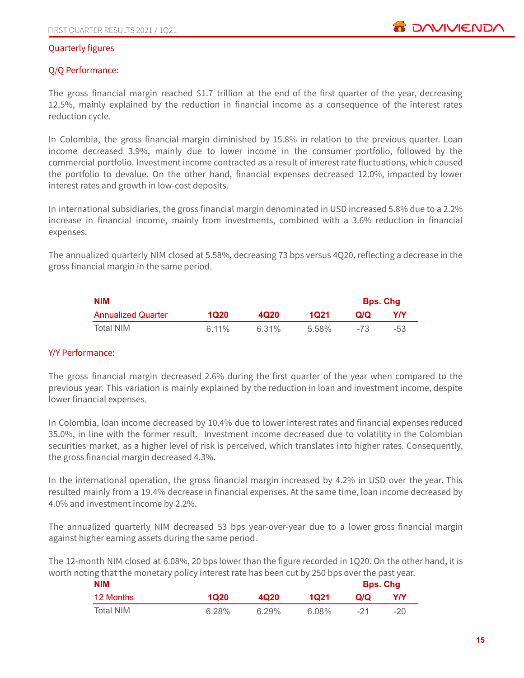#### Quarterly figures

## Q/Q Performance:

The gross financial margin reached \$1.7 trillion at the end of the first quarter of the year, decreasing 12.5%, mainly explained by the reduction in financial income as a consequence of the interest rates reduction cycle.

In Colombia, the gross financial margin diminished by 15.8% in relation to the previous quarter. Loan income decreased 3.9%, mainly due to lower income in the consumer portfolio, followed by the commercial portfolio. Investment income contracted as a result of interest rate fluctuations, which caused the portfolio to devalue. On the other hand, financial expenses decreased 12.0%, impacted by lower interest rates and growth in low-cost deposits.

In international subsidiaries, the gross financial margin denominated in USD increased 5.8% due to a 2.2% increase in financial income, mainly from investments, combined with a 3.6% reduction in financial expenses.

The annualized quarterly NIM closed at 5.58%, decreasing 73 bps versus 4Q20, reflecting a decrease in the gross financial margin in the same period.

| <b>NIM</b>                |          |       |       | <b>Bps. Chg</b> |     |
|---------------------------|----------|-------|-------|-----------------|-----|
| <b>Annualized Quarter</b> | 1020     | 4Q20  | 1021  | വറ              | YN  |
| Total NIM                 | $6.11\%$ | 6.31% | 5.58% | -73             | -53 |

# Y/Y Performance:

The gross financial margin decreased 2.6% during the first quarter of the year when compared to the previous year. This variation is mainly explained by the reduction in loan and investment income, despite lower financial expenses.

In Colombia, loan income decreased by 10.4% due to lower interest rates and financial expenses reduced 35.0%, in line with the former result. Investment income decreased due to volatility in the Colombian securities market, as a higher level of risk is perceived, which translates into higher rates. Consequently, the gross financial margin decreased 4.3%.

In the international operation, the gross financial margin increased by 4.2% in USD over the year. This resulted mainly from a 19.4% decrease in financial expenses. At the same time, loan income decreased by 4.0% and investment income by 2.2%.

The annualized quarterly NIM decreased 53 bps year-over-year due to a lower gross financial margin against higher earning assets during the same period.

The 12-month NIM closed at 6.08%, 20 bps lower than the figure recorded in 1Q20. On the other hand, it is worth noting that the monetary policy interest rate has been cut by 250 bps over the past year.

| <b>NIM</b> |       |                  |       |       | <b>Bps. Chg</b> |  |
|------------|-------|------------------|-------|-------|-----------------|--|
| 12 Months  | 1Q20  | 4Q <sub>20</sub> | 1021  | Q/Q   | Y/Y             |  |
| Total NIM  | 6.28% | 6.29%            | 6.08% | $-21$ | $-20$           |  |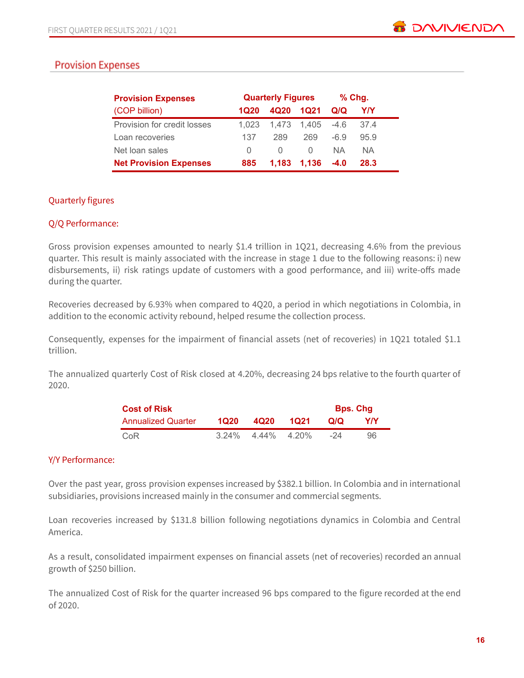# **Provision Expenses**

| <b>Provision Expenses</b>     |                  | <b>Quarterly Figures</b> | $%$ Chg.         |        |      |
|-------------------------------|------------------|--------------------------|------------------|--------|------|
| (COP billion)                 | 1020             | 4Q20                     | 1021             | Q/Q    | YN   |
| Provision for credit losses   | 1.023            | 1.473                    | 1.405            | $-4.6$ | 37.4 |
| Loan recoveries               | 137              | 289                      | 269              | -6.9   | 95.9 |
| Net loan sales                | $\left( \right)$ |                          | $\left( \right)$ | NA.    | NA.  |
| <b>Net Provision Expenses</b> | 885              | 1,183                    | 1,136            | $-4.0$ | 28.3 |

# Quarterly figures

## Q/Q Performance:

Gross provision expenses amounted to nearly \$1.4 trillion in 1Q21, decreasing 4.6% from the previous quarter. This result is mainly associated with the increase in stage 1 due to the following reasons: i) new disbursements, ii) risk ratings update of customers with a good performance, and iii) write-offs made during the quarter.

Recoveries decreased by 6.93% when compared to 4Q20, a period in which negotiations in Colombia, in addition to the economic activity rebound, helped resume the collection process.

Consequently, expenses for the impairment of financial assets (net of recoveries) in 1Q21 totaled \$1.1 trillion.

The annualized quarterly Cost of Risk closed at 4.20%, decreasing 24 bps relative to the fourth quarter of 2020.

| <b>Cost of Risk</b>       |      |                      |      |     | <b>Bps. Chg</b> |
|---------------------------|------|----------------------|------|-----|-----------------|
| <b>Annualized Quarter</b> | 1020 | 4Q20                 | 1021 | Q/Q | YN              |
| CoR                       |      | $3.24\%$ 4.44% 4.20% |      | -24 | 96              |

#### Y/Y Performance:

Over the past year, gross provision expenses increased by \$382.1 billion. In Colombia and in international subsidiaries, provisions increased mainly in the consumer and commercial segments.

Loan recoveries increased by \$131.8 billion following negotiations dynamics in Colombia and Central America.

As a result, consolidated impairment expenses on financial assets (net of recoveries) recorded an annual growth of \$250 billion.

The annualized Cost of Risk for the quarter increased 96 bps compared to the figure recorded at the end of 2020.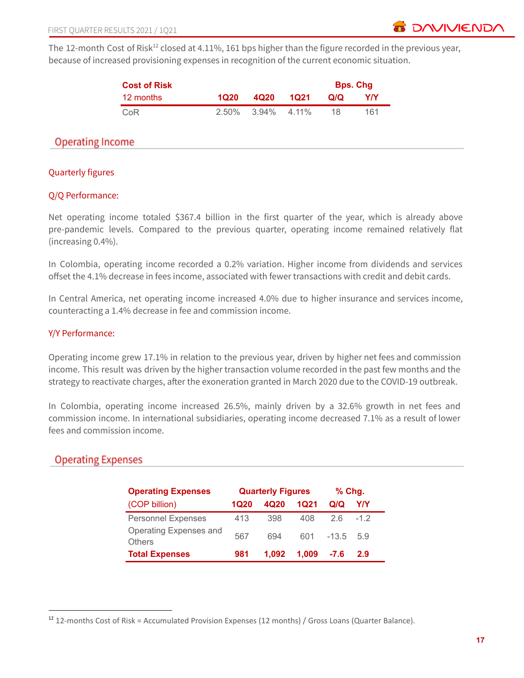

The 12-month Cost of Risk<sup>12</sup> closed at 4.11%, 161 bps higher than the figure recorded in the previous year, because of increased provisioning expenses in recognition of the current economic situation.

| <b>Cost of Risk</b> |      |                            |      | <b>Bps. Chg</b> |     |
|---------------------|------|----------------------------|------|-----------------|-----|
| 12 months           | 1020 | 4Q20                       | 1021 | Q/Q             | Y/Y |
| CoR                 |      | $2.50\%$ $3.94\%$ $4.11\%$ |      | 18              | 161 |

# **Operating Income**

## Quarterly figures

## Q/Q Performance:

Net operating income totaled \$367.4 billion in the first quarter of the year, which is already above pre-pandemic levels. Compared to the previous quarter, operating income remained relatively flat (increasing 0.4%).

In Colombia, operating income recorded a 0.2% variation. Higher income from dividends and services offset the 4.1% decrease in fees income, associated with fewer transactions with credit and debit cards.

In Central America, net operating income increased 4.0% due to higher insurance and services income, counteracting a 1.4% decrease in fee and commission income.

#### Y/Y Performance:

Operating income grew 17.1% in relation to the previous year, driven by higher net fees and commission income. This result was driven by the higher transaction volume recorded in the past few months and the strategy to reactivate charges, after the exoneration granted in March 2020 due to the COVID-19 outbreak.

In Colombia, operating income increased 26.5%, mainly driven by a 32.6% growth in net fees and commission income. In international subsidiaries, operating income decreased 7.1% as a result of lower fees and commission income.

# **Operating Expenses**

| <b>Operating Expenses</b>               | <b>Quarterly Figures</b> |       |       | $%$ Chg. |       |
|-----------------------------------------|--------------------------|-------|-------|----------|-------|
| (COP billion)                           | 1Q20                     | 4Q20  | 1021  | Q/Q      | Y/Y   |
| <b>Personnel Expenses</b>               | 413                      | 398   | 408   | 26       | $-12$ |
| Operating Expenses and<br><b>Others</b> | 567                      | 694   | 601   | $-13.5$  | 59    |
| <b>Total Expenses</b>                   | 981                      | 1.092 | 1,009 | $-7.6$   | 2.9   |

 $12$  12-months Cost of Risk = Accumulated Provision Expenses (12 months) / Gross Loans (Quarter Balance).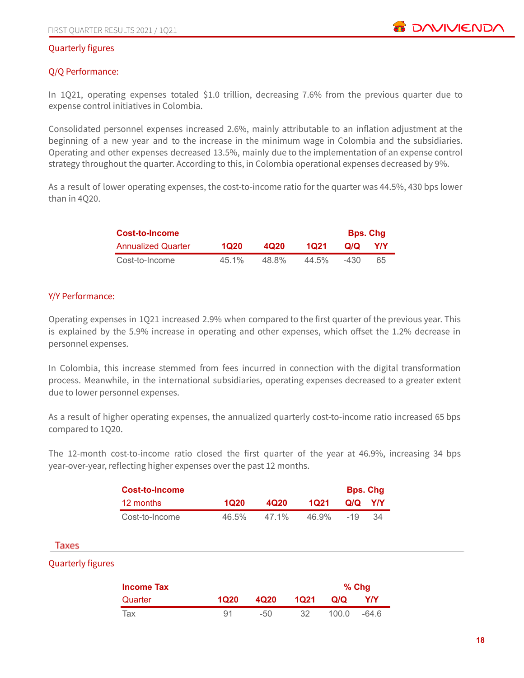## Quarterly figures

## Q/Q Performance:

In 1Q21, operating expenses totaled \$1.0 trillion, decreasing 7.6% from the previous quarter due to expense control initiatives in Colombia.

Consolidated personnel expenses increased 2.6%, mainly attributable to an inflation adjustment at the beginning of a new year and to the increase in the minimum wage in Colombia and the subsidiaries. Operating and other expenses decreased 13.5%, mainly due to the implementation of an expense control strategy throughout the quarter. According to this, in Colombia operational expenses decreased by 9%.

As a result of lower operating expenses, the cost-to-income ratio for the quarter was 44.5%, 430 bps lower than in 4Q20.

| Cost-to-Income            |       |       |          | <b>Bps. Chg</b> |            |
|---------------------------|-------|-------|----------|-----------------|------------|
| <b>Annualized Quarter</b> | 1020  | 4020  | 1021     | O/Q             | <b>YIY</b> |
| Cost-to-Income            | 45 1% | 48.8% | $44.5\%$ | $-430$          | 65         |

#### Y/Y Performance:

Operating expenses in 1Q21 increased 2.9% when compared to the first quarter of the previous year. This is explained by the 5.9% increase in operating and other expenses, which offset the 1.2% decrease in personnel expenses.

In Colombia, this increase stemmed from fees incurred in connection with the digital transformation process. Meanwhile, in the international subsidiaries, operating expenses decreased to a greater extent due to lower personnel expenses.

As a result of higher operating expenses, the annualized quarterly cost-to-income ratio increased 65 bps compared to 1Q20.

The 12-month cost-to-income ratio closed the first quarter of the year at 46.9%, increasing 34 bps year-over-year, reflecting higher expenses over the past 12 months.

| Cost-to-Income |       |       |       | <b>Bps. Chg</b> |    |
|----------------|-------|-------|-------|-----------------|----|
| 12 months      | 1020  | 4020  | 1021  | Q/Q             | YN |
| Cost-to-Income | 46.5% | 47 1% | 46.9% | $-19$           | 34 |

#### **Taxes**

#### Quarterly figures

| <b>Income Tax</b> |      |        | $%$ Chg |       |       |
|-------------------|------|--------|---------|-------|-------|
| Quarter           | 1Q20 | 4Q20   | 1021    | Q/Q   | Y/Y   |
| Tax               | 91   | $-5()$ | 32      | 100.0 | -64.6 |